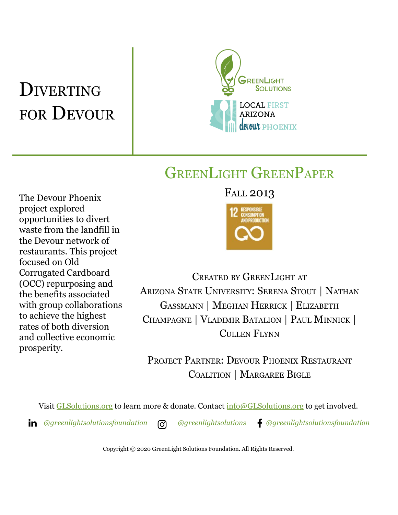# **DIVERTING** FOR DEVOUR



## GREENLIGHT GREENPAPER

The Devour Phoenix project explored opportunities to divert waste from the landfill in the Devour network of restaurants. This project focused on Old Corrugated Cardboard (OCC) repurposing and the benefits associated with group collaborations to achieve the highest rates of both diversion and collective economic prosperity.

FALL 2013



CREATED BY GREENLIGHT AT ARIZONA STATE UNIVERSITY: SERENA STOUT | NATHAN GASSMANN | MEGHAN HERRICK | ELIZABETH CHAMPAGNE | VLADIMIR BATALION | PAUL MINNICK | CULLEN FLYNN

PROJECT PARTNER: DEVOUR PHOENIX RESTAURANT COALITION | MARGAREE BIGLE

Visit **[GLSolutions.org](https://www.glsolutions.org/)** to learn more & donate. Contact  $\frac{info@GLSolutions.org}{info@GLSolutions.org}$  $\frac{info@GLSolutions.org}{info@GLSolutions.org}$  $\frac{info@GLSolutions.org}{info@GLSolutions.org}$  to get involved.

*[@greenlightsolutionsfoundation](https://www.linkedin.com/company/10571635) [@greenlightsolutions](https://www.instagram.com/greenlightsolutions/) [@greenlightsolutionsfoundation](https://www.facebook.com/GreenLightSolutionsFoundation/)*

Copyright © 2020 GreenLight Solutions Foundation. All Rights Reserved.